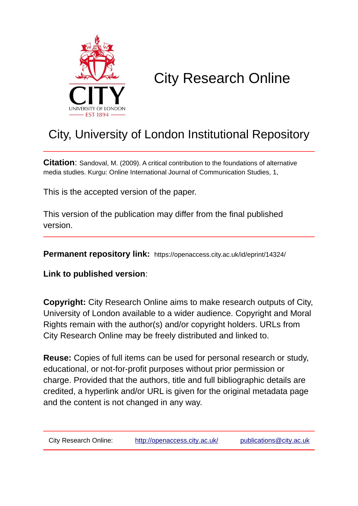

# City Research Online

## City, University of London Institutional Repository

**Citation**: Sandoval, M. (2009). A critical contribution to the foundations of alternative media studies. Kurgu: Online International Journal of Communication Studies, 1,

This is the accepted version of the paper.

This version of the publication may differ from the final published version.

**Permanent repository link:** https://openaccess.city.ac.uk/id/eprint/14324/

**Link to published version**:

**Copyright:** City Research Online aims to make research outputs of City, University of London available to a wider audience. Copyright and Moral Rights remain with the author(s) and/or copyright holders. URLs from City Research Online may be freely distributed and linked to.

**Reuse:** Copies of full items can be used for personal research or study, educational, or not-for-profit purposes without prior permission or charge. Provided that the authors, title and full bibliographic details are credited, a hyperlink and/or URL is given for the original metadata page and the content is not changed in any way.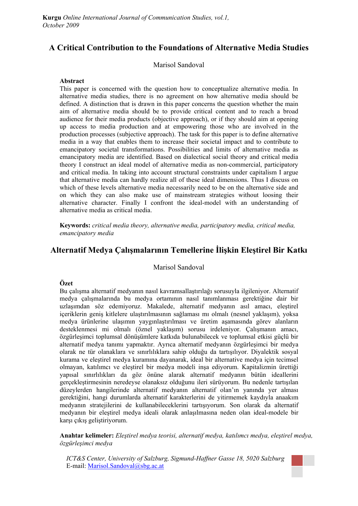## **A Critical Contribution to the Foundations of Alternative Media Studies**

#### Marisol Sandoval

#### **Abstract**

This paper is concerned with the question how to conceptualize alternative media. In alternative media studies, there is no agreement on how alternative media should be defined. A distinction that is drawn in this paper concerns the question whether the main aim of alternative media should be to provide critical content and to reach a broad audience for their media products (objective approach), or if they should aim at opening up access to media production and at empowering those who are involved in the production processes (subjective approach). The task for this paper is to define alternative media in a way that enables them to increase their societal impact and to contribute to emancipatory societal transformations. Possibilities and limits of alternative media as emancipatory media are identified. Based on dialectical social theory and critical media theory I construct an ideal model of alternative media as non-commercial, participatory and critical media. In taking into account structural constraints under capitalism I argue that alternative media can hardly realize all of these ideal dimensions. Thus I discuss on which of these levels alternative media necessarily need to be on the alternative side and on which they can also make use of mainstream strategies without loosing their alternative character. Finally I confront the ideal-model with an understanding of alternative media as critical media.

**Keywords:** *critical media theory, alternative media, participatory media, critical media, emancipatory media* 

## **Alternatif Medya Çalışmalarının Temellerine İlişkin Eleştirel Bir Katkı**

#### Marisol Sandoval

#### **Özet**

Bu çalışma alternatif medyanın nasıl kavramsallaştırılağı sorusuyla ilgileniyor. Alternatif medya çalışmalarında bu medya ortamının nasıl tanımlanması gerektiğine dair bir uzlaşımdan söz edemiyoruz. Makalede, alternatif medyanın asıl amacı, eleştirel içeriklerin geniş kitlelere ulaştırılmasının sağlaması mı olmalı (nesnel yaklaşım), yoksa medya ürünlerine ulaşımın yaygınlaştırılması ve üretim aşamasında görev alanların desteklenmesi mi olmalı (öznel yaklaşım) sorusu irdeleniyor. Çalışmanın amacı, özgürleşimci toplumsal dönüşümlere katkıda bulunabilecek ve toplumsal etkisi güçlü bir alternatif medya tanımı yapmaktır. Ayrıca alternatif medyanın özgürleşimci bir medya olarak ne tür olanaklara ve sınırlılıklara sahip olduğu da tartışılıyor. Diyalektik sosyal kurama ve eleştirel medya kuramına dayanarak, ideal bir alternative medya için tecimsel olmayan, katılımcı ve eleştirel bir medya modeli inşa ediyorum. Kapitalizmin ürettiği yapısal sınırlılıkları da göz önüne alarak alternatif medyanın bütün ideallerini gerçekleştirmesinin neredeyse olanaksız olduğunu ileri sürüyorum. Bu nedenle tartışılan düzeylerden hangilerinde alternatif medyanın alternatif olan'ın yanında yer alması gerektiğini, hangi durumlarda alternatif karakterlerini de yitirmemek kaydıyla anaakım medyanın stratejilerini de kullanabileceklerini tartışıyorum. Son olarak da alternatif medyanın bir eleştirel medya ideali olarak anlaşılmasına neden olan ideal-modele bir karşı çıkış geliştiriyorum.

**Anahtar kelimeler:** *Eleştirel medya teorisi, alternatif medya, katılımcı medya, eleştirel medya, özgürleşimci medya*

*ICT&S Center, University of Salzburg, Sigmund-Haffner Gasse 18, 5020 Salzburg*  E-mail: Marisol.Sandoval@sbg.ac.at

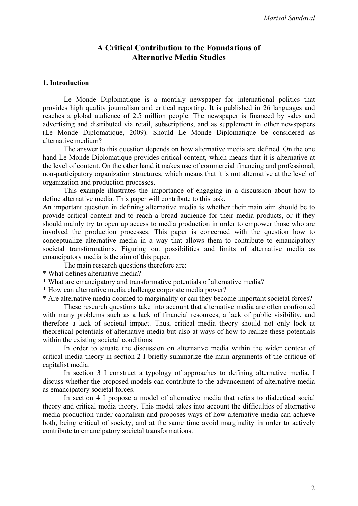## **A Critical Contribution to the Foundations of Alternative Media Studies**

#### **1. Introduction**

Le Monde Diplomatique is a monthly newspaper for international politics that provides high quality journalism and critical reporting. It is published in 26 languages and reaches a global audience of 2.5 million people. The newspaper is financed by sales and advertising and distributed via retail, subscriptions, and as supplement in other newspapers (Le Monde Diplomatique, 2009). Should Le Monde Diplomatique be considered as alternative medium?

The answer to this question depends on how alternative media are defined. On the one hand Le Monde Diplomatique provides critical content, which means that it is alternative at the level of content. On the other hand it makes use of commercial financing and professional, non-participatory organization structures, which means that it is not alternative at the level of organization and production processes.

This example illustrates the importance of engaging in a discussion about how to define alternative media. This paper will contribute to this task.

An important question in defining alternative media is whether their main aim should be to provide critical content and to reach a broad audience for their media products, or if they should mainly try to open up access to media production in order to empower those who are involved the production processes. This paper is concerned with the question how to conceptualize alternative media in a way that allows them to contribute to emancipatory societal transformations. Figuring out possibilities and limits of alternative media as emancipatory media is the aim of this paper.

The main research questions therefore are:

- \* What defines alternative media?
- \* What are emancipatory and transformative potentials of alternative media?
- \* How can alternative media challenge corporate media power?
- \* Are alternative media doomed to marginality or can they become important societal forces?

These research questions take into account that alternative media are often confronted with many problems such as a lack of financial resources, a lack of public visibility, and therefore a lack of societal impact. Thus, critical media theory should not only look at theoretical potentials of alternative media but also at ways of how to realize these potentials within the existing societal conditions.

In order to situate the discussion on alternative media within the wider context of critical media theory in section 2 I briefly summarize the main arguments of the critique of capitalist media.

In section 3 I construct a typology of approaches to defining alternative media. I discuss whether the proposed models can contribute to the advancement of alternative media as emancipatory societal forces.

In section 4 I propose a model of alternative media that refers to dialectical social theory and critical media theory. This model takes into account the difficulties of alternative media production under capitalism and proposes ways of how alternative media can achieve both, being critical of society, and at the same time avoid marginality in order to actively contribute to emancipatory societal transformations.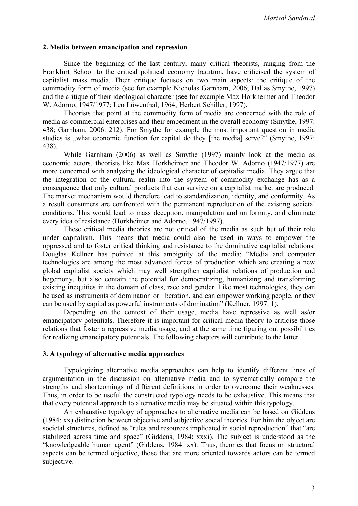#### **2. Media between emancipation and repression**

Since the beginning of the last century, many critical theorists, ranging from the Frankfurt School to the critical political economy tradition, have criticised the system of capitalist mass media. Their critique focuses on two main aspects: the critique of the commodity form of media (see for example Nicholas Garnham, 2006; Dallas Smythe, 1997) and the critique of their ideological character (see for example Max Horkheimer and Theodor W. Adorno, 1947/1977; Leo Löwenthal, 1964; Herbert Schiller, 1997).

Theorists that point at the commodity form of media are concerned with the role of media as commercial enterprises and their embedment in the overall economy (Smythe, 1997: 438; Garnham, 2006: 212). For Smythe for example the most important question in media studies is "what economic function for capital do they [the media] serve?" (Smythe, 1997: 438).

While Garnham (2006) as well as Smythe (1997) mainly look at the media as economic actors, theorists like Max Horkheimer and Theodor W. Adorno (1947/1977) are more concerned with analysing the ideological character of capitalist media. They argue that the integration of the cultural realm into the system of commodity exchange has as a consequence that only cultural products that can survive on a capitalist market are produced. The market mechanism would therefore lead to standardization, identity, and conformity. As a result consumers are confronted with the permanent reproduction of the existing societal conditions. This would lead to mass deception, manipulation and uniformity, and eliminate every idea of resistance (Horkheimer and Adorno, 1947/1997).

These critical media theories are not critical of the media as such but of their role under capitalism. This means that media could also be used in ways to empower the oppressed and to foster critical thinking and resistance to the dominative capitalist relations. Douglas Kellner has pointed at this ambiguity of the media: "Media and computer technologies are among the most advanced forces of production which are creating a new global capitalist society which may well strengthen capitalist relations of production and hegemony, but also contain the potential for democratizing, humanizing and transforming existing inequities in the domain of class, race and gender. Like most technologies, they can be used as instruments of domination or liberation, and can empower working people, or they can be used by capital as powerful instruments of domination" (Kellner, 1997: 1).

Depending on the context of their usage, media have repressive as well as/or emancipatory potentials. Therefore it is important for critical media theory to criticise those relations that foster a repressive media usage, and at the same time figuring out possibilities for realizing emancipatory potentials. The following chapters will contribute to the latter.

#### **3. A typology of alternative media approaches**

Typologizing alternative media approaches can help to identify different lines of argumentation in the discussion on alternative media and to systematically compare the strengths and shortcomings of different definitions in order to overcome their weaknesses. Thus, in order to be useful the constructed typology needs to be exhaustive. This means that that every potential approach to alternative media may be situated within this typology.

An exhaustive typology of approaches to alternative media can be based on Giddens (1984: xx) distinction between objective and subjective social theories. For him the object are societal structures, defined as "rules and resources implicated in social reproduction" that "are stabilized across time and space" (Giddens, 1984: xxxi). The subject is understood as the "knowledgeable human agent" (Giddens, 1984: xx). Thus, theories that focus on structural aspects can be termed objective, those that are more oriented towards actors can be termed subjective.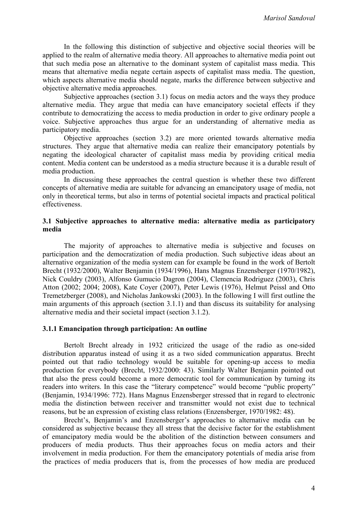In the following this distinction of subjective and objective social theories will be applied to the realm of alternative media theory. All approaches to alternative media point out that such media pose an alternative to the dominant system of capitalist mass media. This means that alternative media negate certain aspects of capitalist mass media. The question, which aspects alternative media should negate, marks the difference between subjective and objective alternative media approaches.

Subjective approaches (section 3.1) focus on media actors and the ways they produce alternative media. They argue that media can have emancipatory societal effects if they contribute to democratizing the access to media production in order to give ordinary people a voice. Subjective approaches thus argue for an understanding of alternative media as participatory media.

Objective approaches (section 3.2) are more oriented towards alternative media structures. They argue that alternative media can realize their emancipatory potentials by negating the ideological character of capitalist mass media by providing critical media content. Media content can be understood as a media structure because it is a durable result of media production.

In discussing these approaches the central question is whether these two different concepts of alternative media are suitable for advancing an emancipatory usage of media, not only in theoretical terms, but also in terms of potential societal impacts and practical political effectiveness.

#### **3.1 Subjective approaches to alternative media: alternative media as participatory media**

The majority of approaches to alternative media is subjective and focuses on participation and the democratization of media production. Such subjective ideas about an alternative organization of the media system can for example be found in the work of Bertolt Brecht (1932/2000), Walter Benjamin (1934/1996), Hans Magnus Enzensberger (1970/1982), Nick Couldry (2003), Alfonso Gumucio Dagron (2004), Clemencia Rodriguez (2003), Chris Atton (2002; 2004; 2008), Kate Coyer (2007), Peter Lewis (1976), Helmut Peissl and Otto Tremetzberger (2008), and Nicholas Jankowski (2003). In the following I will first outline the main arguments of this approach (section 3.1.1) and than discuss its suitability for analysing alternative media and their societal impact (section 3.1.2).

#### **3.1.1 Emancipation through participation: An outline**

Bertolt Brecht already in 1932 criticized the usage of the radio as one-sided distribution apparatus instead of using it as a two sided communication apparatus. Brecht pointed out that radio technology would be suitable for opening-up access to media production for everybody (Brecht, 1932/2000: 43). Similarly Walter Benjamin pointed out that also the press could become a more democratic tool for communication by turning its readers into writers. In this case the "literary competence" would become "public property" (Benjamin, 1934/1996: 772). Hans Magnus Enzensberger stressed that in regard to electronic media the distinction between receiver and transmitter would not exist due to technical reasons, but be an expression of existing class relations (Enzensberger, 1970/1982: 48).

Brecht's, Benjamin's and Enzensberger's approaches to alternative media can be considered as subjective because they all stress that the decisive factor for the establishment of emancipatory media would be the abolition of the distinction between consumers and producers of media products. Thus their approaches focus on media actors and their involvement in media production. For them the emancipatory potentials of media arise from the practices of media producers that is, from the processes of how media are produced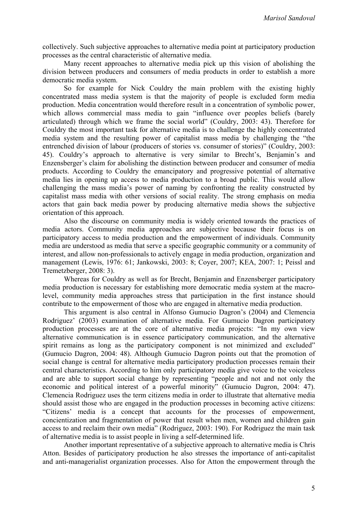collectively. Such subjective approaches to alternative media point at participatory production processes as the central characteristic of alternative media.

Many recent approaches to alternative media pick up this vision of abolishing the division between producers and consumers of media products in order to establish a more democratic media system.

So for example for Nick Couldry the main problem with the existing highly concentrated mass media system is that the majority of people is excluded form media production. Media concentration would therefore result in a concentration of symbolic power, which allows commercial mass media to gain "influence over peoples beliefs (barely articulated) through which we frame the social world" (Couldry, 2003: 43). Therefore for Couldry the most important task for alternative media is to challenge the highly concentrated media system and the resulting power of capitalist mass media by challenging the "the entrenched division of labour (producers of stories vs. consumer of stories)" (Couldry, 2003: 45). Couldry's approach to alternative is very similar to Brecht's, Benjamin's and Enzensberger's claim for abolishing the distinction between producer and consumer of media products. According to Couldry the emancipatory and progressive potential of alternative media lies in opening up access to media production to a broad public. This would allow challenging the mass media's power of naming by confronting the reality constructed by capitalist mass media with other versions of social reality. The strong emphasis on media actors that gain back media power by producing alternative media shows the subjective orientation of this approach.

Also the discourse on community media is widely oriented towards the practices of media actors. Community media approaches are subjective because their focus is on participatory access to media production and the empowerment of individuals. Community media are understood as media that serve a specific geographic community or a community of interest, and allow non-professionals to actively engage in media production, organization and management (Lewis, 1976: 61; Jankowski, 2003: 8; Coyer, 2007; KEA, 2007: 1; Peissl and Tremetzberger, 2008: 3).

Whereas for Couldry as well as for Brecht, Benjamin and Enzensberger participatory media production is necessary for establishing more democratic media system at the macrolevel, community media approaches stress that participation in the first instance should contribute to the empowerment of those who are engaged in alternative media production.

This argument is also central in Alfonso Gumucio Dagron's (2004) and Clemencia Rodriguez' (2003) examination of alternative media. For Gumucio Dagron participatory production processes are at the core of alternative media projects: "In my own view alternative communication is in essence participatory communication, and the alternative spirit remains as long as the participatory component is not minimized and excluded" (Gumucio Dagron, 2004: 48). Although Gumucio Dagron points out that the promotion of social change is central for alternative media participatory production processes remain their central characteristics. According to him only participatory media give voice to the voiceless and are able to support social change by representing "people and not and not only the economic and political interest of a powerful minority" (Gumucio Dagron, 2004: 47). Clemencia Rodriguez uses the term citizens media in order to illustrate that alternative media should assist those who are engaged in the production processes in becoming active citizens: "Citizens' media is a concept that accounts for the processes of empowerment, concientization and fragmentation of power that result when men, women and children gain access to and reclaim their own media" (Rodriguez, 2003: 190). For Rodriguez the main task of alternative media is to assist people in living a self-determined life.

Another important representative of a subjective approach to alternative media is Chris Atton. Besides of participatory production he also stresses the importance of anti-capitalist and anti-managerialist organization processes. Also for Atton the empowerment through the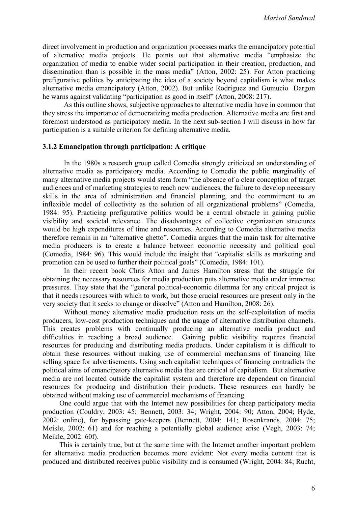direct involvement in production and organization processes marks the emancipatory potential of alternative media projects. He points out that alternative media "emphasize the organization of media to enable wider social participation in their creation, production, and dissemination than is possible in the mass media" (Atton, 2002: 25). For Atton practicing prefigurative politics by anticipating the idea of a society beyond capitalism is what makes alternative media emancipatory (Atton, 2002). But unlike Rodriguez and Gumucio Dargon he warns against validating "participation as good in itself" (Atton, 2008: 217).

As this outline shows, subjective approaches to alternative media have in common that they stress the importance of democratizing media production. Alternative media are first and foremost understood as participatory media. In the next sub-section I will discuss in how far participation is a suitable criterion for defining alternative media.

#### **3.1.2 Emancipation through participation: A critique**

In the 1980s a research group called Comedia strongly criticized an understanding of alternative media as participatory media. According to Comedia the public marginality of many alternative media projects would stem form "the absence of a clear conception of target audiences and of marketing strategies to reach new audiences, the failure to develop necessary skills in the area of administration and financial planning, and the commitment to an inflexible model of collectivity as the solution of all organizational problems" (Comedia, 1984: 95). Practicing prefigurative politics would be a central obstacle in gaining public visibility and societal relevance. The disadvantages of collective organization structures would be high expenditures of time and resources. According to Comedia alternative media therefore remain in an "alternative ghetto". Comedia argues that the main task for alternative media producers is to create a balance between economic necessity and political goal (Comedia, 1984: 96). This would include the insight that "capitalist skills as marketing and promotion can be used to further their political goals" (Comedia, 1984: 101).

In their recent book Chris Atton and James Hamilton stress that the struggle for obtaining the necessary resources for media production puts alternative media under immense pressures. They state that the "general political-economic dilemma for any critical project is that it needs resources with which to work, but those crucial resources are present only in the very society that it seeks to change or dissolve" (Atton and Hamilton, 2008: 26).

Without money alternative media production rests on the self-exploitation of media producers, low-cost production techniques and the usage of alternative distribution channels. This creates problems with continually producing an alternative media product and difficulties in reaching a broad audience. Gaining public visibility requires financial resources for producing and distributing media products. Under capitalism it is difficult to obtain these resources without making use of commercial mechanisms of financing like selling space for advertisements. Using such capitalist techniques of financing contradicts the political aims of emancipatory alternative media that are critical of capitalism. But alternative media are not located outside the capitalist system and therefore are dependent on financial resources for producing and distribution their products. These resources can hardly be obtained without making use of commercial mechanisms of financing.

 One could argue that with the Internet new possibilities for cheap participatory media production (Couldry, 2003: 45; Bennett, 2003: 34; Wright, 2004: 90; Atton, 2004; Hyde, 2002: online), for bypassing gate-keepers (Bennett, 2004: 141; Rosenkrands, 2004: 75; Meikle, 2002: 61) and for reaching a potentially global audience arise (Vegh, 2003: 74; Meikle, 2002: 60f).

 This is certainly true, but at the same time with the Internet another important problem for alternative media production becomes more evident: Not every media content that is produced and distributed receives public visibility and is consumed (Wright, 2004: 84; Rucht,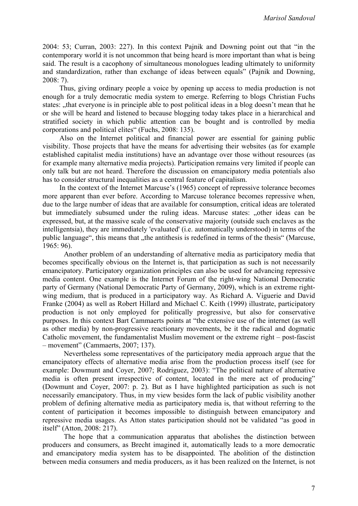2004: 53; Curran, 2003: 227). In this context Pajnik and Downing point out that "in the contemporary world it is not uncommon that being heard is more important than what is being said. The result is a cacophony of simultaneous monologues leading ultimately to uniformity and standardization, rather than exchange of ideas between equals" (Pajnik and Downing, 2008: 7).

 Thus, giving ordinary people a voice by opening up access to media production is not enough for a truly democratic media system to emerge. Referring to blogs Christian Fuchs states: "that everyone is in principle able to post political ideas in a blog doesn't mean that he or she will be heard and listened to because blogging today takes place in a hierarchical and stratified society in which public attention can be bought and is controlled by media corporations and political elites" (Fuchs, 2008: 135).

 Also on the Internet political and financial power are essential for gaining public visibility. Those projects that have the means for advertising their websites (as for example established capitalist media institutions) have an advantage over those without resources (as for example many alternative media projects). Participation remains very limited if people can only talk but are not heard. Therefore the discussion on emancipatory media potentials also has to consider structural inequalities as a central feature of capitalism.

 In the context of the Internet Marcuse's (1965) concept of repressive tolerance becomes more apparent than ever before. According to Marcuse tolerance becomes repressive when, due to the large number of ideas that are available for consumption, critical ideas are tolerated but immediately subsumed under the ruling ideas. Marcuse states: "other ideas can be expressed, but, at the massive scale of the conservative majority (outside such enclaves as the intelligentsia), they are immediately 'evaluated' (i.e. automatically understood) in terms of the public language", this means that "the antithesis is redefined in terms of the thesis" (Marcuse, 1965: 96).

Another problem of an understanding of alternative media as participatory media that becomes specifically obvious on the Internet is, that participation as such is not necessarily emancipatory. Participatory organization principles can also be used for advancing repressive media content. One example is the Internet Forum of the right-wing National Democratic party of Germany (National Democratic Party of Germany, 2009), which is an extreme rightwing medium, that is produced in a participatory way. As Richard A. Viguerie and David Franke (2004) as well as Robert Hillard and Michael C. Keith (1999) illustrate, participatory production is not only employed for politically progressive, but also for conservative purposes. In this context Bart Cammaerts points at "the extensive use of the internet (as well as other media) by non-progressive reactionary movements, be it the radical and dogmatic Catholic movement, the fundamentalist Muslim movement or the extreme right – post-fascist – movement" (Cammaerts, 2007; 137).

Nevertheless some representatives of the participatory media approach argue that the emancipatory effects of alternative media arise from the production process itself (see for example: Dowmunt and Coyer, 2007; Rodriguez, 2003): "The political nature of alternative media is often present irrespective of content, located in the mere act of producing" (Dowmunt and Coyer, 2007: p. 2). But as I have highlighted participation as such is not necessarily emancipatory. Thus, in my view besides form the lack of public visibility another problem of defining alternative media as participatory media is, that without referring to the content of participation it becomes impossible to distinguish between emancipatory and repressive media usages. As Atton states participation should not be validated "as good in itself" (Atton, 2008: 217).

The hope that a communication apparatus that abolishes the distinction between producers and consumers, as Brecht imagined it, automatically leads to a more democratic and emancipatory media system has to be disappointed. The abolition of the distinction between media consumers and media producers, as it has been realized on the Internet, is not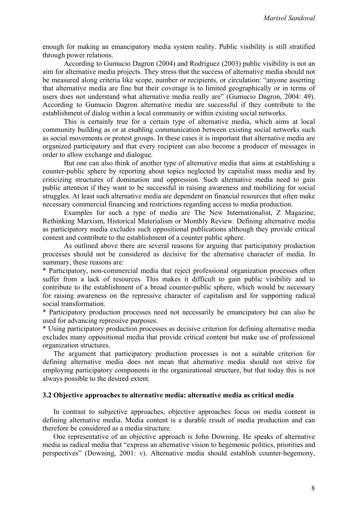enough for making an emancipatory media system reality. Public visibility is still stratified through power relations.

According to Gumucio Dagron (2004) and Rodriguez (2003) public visibility is not an aim for alternative media projects. They stress that the success of alternative media should not be measured along criteria like scope, number or recipients, or circulation: "anyone asserting that alternative media are fine but their coverage is to limited geographically or in terms of users does not understand what alternative media really are" (Gumucio Dagron, 2004: 49). According to Gumucio Dagron alternative media are successful if they contribute to the establishment of dialog within a local community or within existing social networks.

This is certainly true for a certain type of alternative media, which aims at local community building as or at enabling communication between existing social networks such as social movements or protest groups. In these cases it is important that alternative media are organized participatory and that every recipient can also become a producer of messages in order to allow exchange and dialogue.

But one can also think of another type of alternative media that aims at establishing a counter-public sphere by reporting about topics neglected by capitalist mass media and by criticizing structures of domination and oppression. Such alternative media need to gain public attention if they want to be successful in raising awareness and mobilizing for social struggles. At least such alternative media are dependent on financial resources that often make necessary commercial financing and restrictions regarding access to media production.

Examples for such a type of media are The New Internationalist, Z Magazine, Rethinking Marxism, Historical Materialism or Monthly Review. Defining alternative media as participatory media excludes such oppositional publications although they provide critical content and contribute to the establishment of a counter public sphere.

As outlined above there are several reasons for arguing that participatory production processes should not be considered as decisive for the alternative character of media. In summary, these reasons are:

\* Participatory, non-commercial media that reject professional organization processes often suffer from a lack of resources. This makes it difficult to gain public visibility and to contribute to the establishment of a broad counter-public sphere, which would be necessary for raising awareness on the repressive character of capitalism and for supporting radical social transformation.

\* Participatory production processes need not necessarily be emancipatory but can also be used for advancing repressive purposes.

\* Using participatory production processes as decisive criterion for defining alternative media excludes many oppositional media that provide critical content but make use of professional organization structures.

The argument that participatory production processes is not a suitable criterion for defining alternative media does not mean that alternative media should not strive for employing participatory components in the organizational structure, but that today this is not always possible to the desired extent.

#### **3.2 Objective approaches to alternative media: alternative media as critical media**

In contrast to subjective approaches, objective approaches focus on media content in defining alternative media. Media content is a durable result of media production and can therefore be considered as a media structure.

One representative of an objective approach is John Downing. He speaks of alternative media as radical media that "express an alternative vision to hegemonic politics, priorities and perspectives" (Downing, 2001: v). Alternative media should establish counter-hegemony,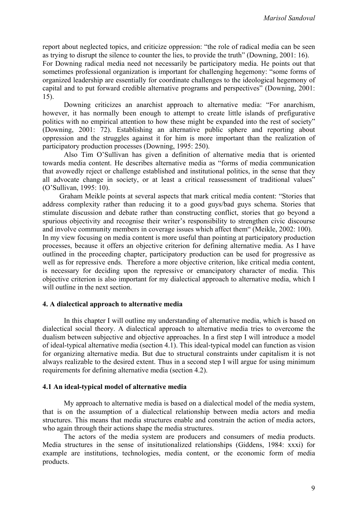report about neglected topics, and criticize oppression: "the role of radical media can be seen as trying to disrupt the silence to counter the lies, to provide the truth" (Downing, 2001: 16).

For Downing radical media need not necessarily be participatory media. He points out that sometimes professional organization is important for challenging hegemony: "some forms of organized leadership are essentially for coordinate challenges to the ideological hegemony of capital and to put forward credible alternative programs and perspectives" (Downing, 2001: 15).

Downing criticizes an anarchist approach to alternative media: "For anarchism, however, it has normally been enough to attempt to create little islands of prefigurative politics with no empirical attention to how these might be expanded into the rest of society" (Downing, 2001: 72). Establishing an alternative public sphere and reporting about oppression and the struggles against it for him is more important than the realization of participatory production processes (Downing, 1995: 250).

Also Tim O'Sullivan has given a definition of alternative media that is oriented towards media content. He describes alternative media as "forms of media communication that avowedly reject or challenge established and institutional politics, in the sense that they all advocate change in society, or at least a critical reassessment of traditional values" (O'Sullivan, 1995: 10).

 Graham Meikle points at several aspects that mark critical media content: "Stories that address complexity rather than reducing it to a good guys/bad guys schema. Stories that stimulate discussion and debate rather than constructing conflict, stories that go beyond a spurious objectivity and recognise their writer's responsibility to strengthen civic discourse and involve community members in coverage issues which affect them" (Meikle, 2002: 100).

In my view focusing on media content is more useful than pointing at participatory production processes, because it offers an objective criterion for defining alternative media. As I have outlined in the proceeding chapter, participatory production can be used for progressive as well as for repressive ends. Therefore a more objective criterion, like critical media content, is necessary for deciding upon the repressive or emancipatory character of media. This objective criterion is also important for my dialectical approach to alternative media, which I will outline in the next section.

#### **4. A dialectical approach to alternative media**

In this chapter I will outline my understanding of alternative media, which is based on dialectical social theory. A dialectical approach to alternative media tries to overcome the dualism between subjective and objective approaches. In a first step I will introduce a model of ideal-typical alternative media (section 4.1). This ideal-typical model can function as vision for organizing alternative media. But due to structural constraints under capitalism it is not always realizable to the desired extent. Thus in a second step I will argue for using minimum requirements for defining alternative media (section 4.2).

#### **4.1 An ideal-typical model of alternative media**

My approach to alternative media is based on a dialectical model of the media system, that is on the assumption of a dialectical relationship between media actors and media structures. This means that media structures enable and constrain the action of media actors, who again through their actions shape the media structures.

The actors of the media system are producers and consumers of media products. Media structures in the sense of insitutionalized relationships (Giddens, 1984: xxxi) for example are institutions, technologies, media content, or the economic form of media products.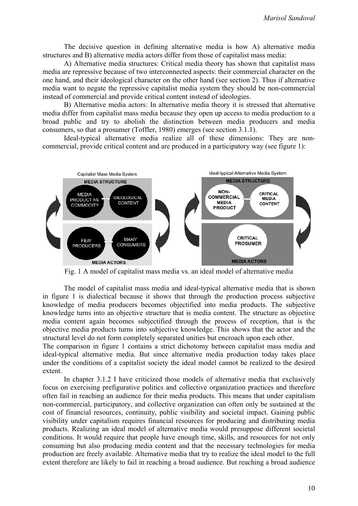The decisive question in defining alternative media is how A) alternative media structures and B) alternative media actors differ from those of capitalist mass media:

A) Alternative media structures: Critical media theory has shown that capitalist mass media are repressive because of two interconnected aspects: their commercial character on the one hand, and their ideological character on the other hand (see section 2). Thus if alternative media want to negate the repressive capitalist media system they should be non-commercial instead of commercial and provide critical content instead of ideologies.

B) Alternative media actors: In alternative media theory it is stressed that alternative media differ from capitalist mass media because they open up access to media production to a broad public and try to abolish the distinction between media producers and media consumers, so that a prosumer (Toffler, 1980) emerges (see section 3.1.1).

Ideal-typical alternative media realize all of these dimensions: They are noncommercial, provide critical content and are produced in a participatory way (see figure 1):



The model of capitalist mass media and ideal-typical alternative media that is shown in figure 1 is dialectical because it shows that through the production process subjective knowledge of media producers becomes objectified into media products. The subjective knowledge turns into an objective structure that is media content. The structure as objective media content again becomes subjectified through the process of reception, that is the objective media products turns into subjective knowledge. This shows that the actor and the structural level do not form completely separated unities but encroach upon each other.

The comparison in figure 1 contains a strict dichotomy between capitalist mass media and ideal-typical alternative media. But since alternative media production today takes place under the conditions of a capitalist society the ideal model cannot be realized to the desired extent.

In chapter 3.1.2 I have criticized those models of alternative media that exclusively focus on exercising prefigurative politics and collective organization practices and therefore often fail in reaching an audience for their media products. This means that under capitalism non-commercial, participatory, and collective organization can often only be sustained at the cost of financial resources, continuity, public visibility and societal impact. Gaining public visibility under capitalism requires financial resources for producing and distributing media products. Realizing an ideal model of alternative media would presuppose different societal conditions. It would require that people have enough time, skills, and resources for not only consuming but also producing media content and that the necessary technologies for media production are freely available. Alternative media that try to realize the ideal model to the full extent therefore are likely to fail in reaching a broad audience. But reaching a broad audience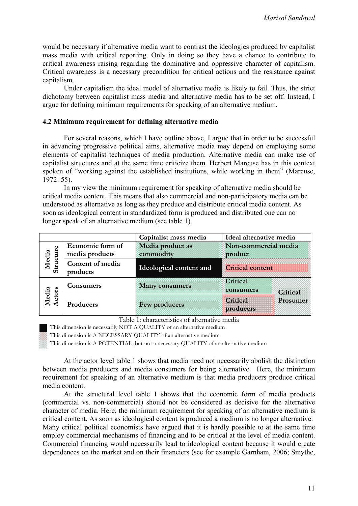would be necessary if alternative media want to contrast the ideologies produced by capitalist mass media with critical reporting. Only in doing so they have a chance to contribute to critical awareness raising regarding the dominative and oppressive character of capitalism. Critical awareness is a necessary precondition for critical actions and the resistance against capitalism.

Under capitalism the ideal model of alternative media is likely to fail. Thus, the strict dichotomy between capitalist mass media and alternative media has to be set off. Instead, I argue for defining minimum requirements for speaking of an alternative medium.

#### **4.2 Minimum requirement for defining alternative media**

For several reasons, which I have outline above, I argue that in order to be successful in advancing progressive political aims, alternative media may depend on employing some elements of capitalist techniques of media production. Alternative media can make use of capitalist structures and at the same time criticize them. Herbert Marcuse has in this context spoken of "working against the established institutions, while working in them" (Marcuse, 1972: 55).

In my view the minimum requirement for speaking of alternative media should be critical media content. This means that also commercial and non-participatory media can be understood as alternative as long as they produce and distribute critical media content. As soon as ideological content in standardized form is produced and distributed one can no longer speak of an alternative medium (see table 1).

|                            |                                    | Capitalist mass media         | Ideal alternative media           |
|----------------------------|------------------------------------|-------------------------------|-----------------------------------|
| cture<br>Media<br>Structur | Economic form of<br>media products | Media product as<br>commodity | Non-commercial media<br>product   |
|                            | Content of media<br>products       | Ideological content and       | <b>Critical content</b>           |
| Media<br>Actors            | Consumers                          | <b>Many consumers</b>         | Critical<br>consumers<br>Critical |
|                            | Producers                          | Few producers                 | Prosumer<br>Critical<br>producers |

Table 1: characteristics of alternative media

This dimension is necessarily NOT A QUALITY of an alternative medium

This dimension is A NECESSARY QUALITY of an alternative medium

This dimension is A POTENTIAL, but not a necessary QUALITY of an alternative medium

At the actor level table 1 shows that media need not necessarily abolish the distinction between media producers and media consumers for being alternative. Here, the minimum requirement for speaking of an alternative medium is that media producers produce critical media content.

At the structural level table 1 shows that the economic form of media products (commercial vs. non-commercial) should not be considered as decisive for the alternative character of media. Here, the minimum requirement for speaking of an alternative medium is critical content. As soon as ideological content is produced a medium is no longer alternative. Many critical political economists have argued that it is hardly possible to at the same time employ commercial mechanisms of financing and to be critical at the level of media content. Commercial financing would necessarily lead to ideological content because it would create dependences on the market and on their financiers (see for example Garnham, 2006; Smythe,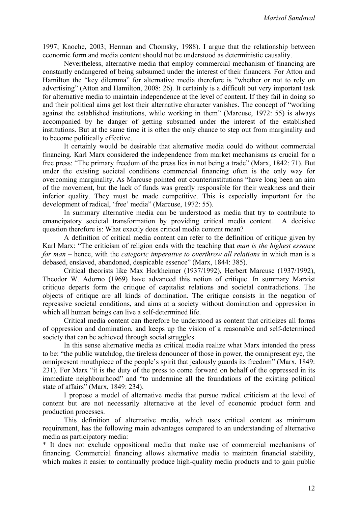1997; Knoche, 2003; Herman and Chomsky, 1988). I argue that the relationship between economic form and media content should not be understood as deterministic causality.

Nevertheless, alternative media that employ commercial mechanism of financing are constantly endangered of being subsumed under the interest of their financers. For Atton and Hamilton the "key dilemma" for alternative media therefore is "whether or not to rely on advertising" (Atton and Hamilton, 2008: 26). It certainly is a difficult but very important task for alternative media to maintain independence at the level of content. If they fail in doing so and their political aims get lost their alternative character vanishes. The concept of "working against the established institutions, while working in them" (Marcuse, 1972: 55) is always accompanied by he danger of getting subsumed under the interest of the established institutions. But at the same time it is often the only chance to step out from marginality and to become politically effective.

It certainly would be desirable that alternative media could do without commercial financing. Karl Marx considered the independence from market mechanisms as crucial for a free press: "The primary freedom of the press lies in not being a trade" (Marx, 1842: 71). But under the existing societal conditions commercial financing often is the only way for overcoming marginality. As Marcuse pointed out counterinstitutions "have long been an aim of the movement, but the lack of funds was greatly responsible for their weakness and their inferior quality. They must be made competitive. This is especially important for the development of radical, 'free' media" (Marcuse, 1972: 55).

In summary alternative media can be understood as media that try to contribute to emancipatory societal transformation by providing critical media content. A decisive question therefore is: What exactly does critical media content mean?

A definition of critical media content can refer to the definition of critique given by Karl Marx: "The criticism of religion ends with the teaching that *man is the highest essence for man* – hence, with the *categoric imperative to overthrow all relations* in which man is a debased, enslaved, abandoned, despicable essence" (Marx, 1844: 385).

Critical theorists like Max Horkheimer (1937/1992), Herbert Marcuse (1937/1992), Theodor W. Adorno (1969) have advanced this notion of critique. In summary Marxist critique departs form the critique of capitalist relations and societal contradictions. The objects of critique are all kinds of domination. The critique consists in the negation of repressive societal conditions, and aims at a society without domination and oppression in which all human beings can live a self-determined life.

Critical media content can therefore be understood as content that criticizes all forms of oppression and domination, and keeps up the vision of a reasonable and self-determined society that can be achieved through social struggles.

In this sense alternative media as critical media realize what Marx intended the press to be: "the public watchdog, the tireless denouncer of those in power, the omnipresent eye, the omnipresent mouthpiece of the people's spirit that jealously guards its freedom" (Marx, 1849: 231). For Marx "it is the duty of the press to come forward on behalf of the oppressed in its immediate neighbourhood" and "to undermine all the foundations of the existing political state of affairs" (Marx, 1849: 234).

I propose a model of alternative media that pursue radical criticism at the level of content but are not necessarily alternative at the level of economic product form and production processes.

This definition of alternative media, which uses critical content as minimum requirement, has the following main advantages compared to an understanding of alternative media as participatory media:

\* It does not exclude oppositional media that make use of commercial mechanisms of financing. Commercial financing allows alternative media to maintain financial stability, which makes it easier to continually produce high-quality media products and to gain public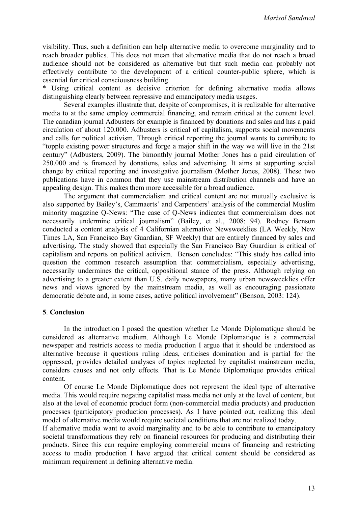visibility. Thus, such a definition can help alternative media to overcome marginality and to reach broader publics. This does not mean that alternative media that do not reach a broad audience should not be considered as alternative but that such media can probably not effectively contribute to the development of a critical counter-public sphere, which is essential for critical consciousness building.

\* Using critical content as decisive criterion for defining alternative media allows distinguishing clearly between repressive and emancipatory media usages.

Several examples illustrate that, despite of compromises, it is realizable for alternative media to at the same employ commercial financing, and remain critical at the content level. The canadian journal Adbusters for example is financed by donations and sales and has a paid circulation of about 120.000. Adbusters is critical of capitalism, supports social movements and calls for political activism. Through critical reporting the journal wants to contribute to "topple existing power structures and forge a major shift in the way we will live in the 21st century" (Adbusters, 2009). The bimonthly journal Mother Jones has a paid circulation of 250.000 and is financed by donations, sales and advertising. It aims at supporting social change by critical reporting and investigative journalism (Mother Jones, 2008). These two publications have in common that they use mainstream distribution channels and have an appealing design. This makes them more accessible for a broad audience.

The argument that commercialism and critical content are not mutually exclusive is also supported by Bailey's, Cammaerts' and Carpentiers' analysis of the commercial Muslim minority magazine Q-News: "The case of Q-News indicates that commercialism does not necessarily undermine critical journalism" (Bailey, et al., 2008: 94). Rodney Benson conducted a content analysis of 4 Californian alternative Newsweeklies (LA Weekly, New Times LA, San Francisco Bay Guardian, SF Weekly) that are entirely financed by sales and advertising. The study showed that especially the San Francisco Bay Guardian is critical of capitalism and reports on political activism. Benson concludes: "This study has called into question the common research assumption that commercialism, especially advertising, necessarily undermines the critical, oppositional stance of the press. Although relying on advertising to a greater extent than U.S. daily newspapers, many urban newsweeklies offer news and views ignored by the mainstream media, as well as encouraging passionate democratic debate and, in some cases, active political involvement" (Benson, 2003: 124).

#### **5**. **Conclusion**

In the introduction I posed the question whether Le Monde Diplomatique should be considered as alternative medium. Although Le Monde Diplomatique is a commercial newspaper and restricts access to media production I argue that it should be understood as alternative because it questions ruling ideas, criticises domination and is partial for the oppressed, provides detailed analyses of topics neglected by capitalist mainstream media, considers causes and not only effects. That is Le Monde Diplomatique provides critical content.

Of course Le Monde Diplomatique does not represent the ideal type of alternative media. This would require negating capitalist mass media not only at the level of content, but also at the level of economic product form (non-commercial media products) and production processes (participatory production processes). As I have pointed out, realizing this ideal model of alternative media would require societal conditions that are not realized today.

If alternative media want to avoid marginality and to be able to contribute to emancipatory societal transformations they rely on financial resources for producing and distributing their products. Since this can require employing commercial means of financing and restricting access to media production I have argued that critical content should be considered as minimum requirement in defining alternative media.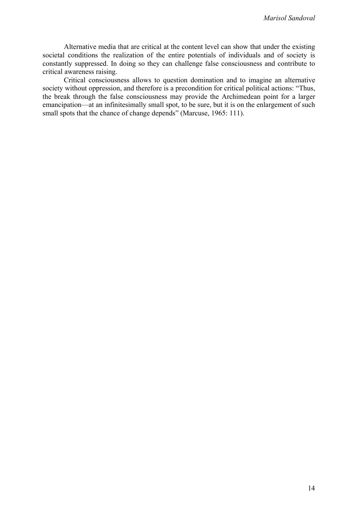Alternative media that are critical at the content level can show that under the existing societal conditions the realization of the entire potentials of individuals and of society is constantly suppressed. In doing so they can challenge false consciousness and contribute to critical awareness raising.

Critical consciousness allows to question domination and to imagine an alternative society without oppression, and therefore is a precondition for critical political actions: "Thus, the break through the false consciousness may provide the Archimedean point for a larger emancipation—at an infinitesimally small spot, to be sure, but it is on the enlargement of such small spots that the chance of change depends" (Marcuse, 1965: 111).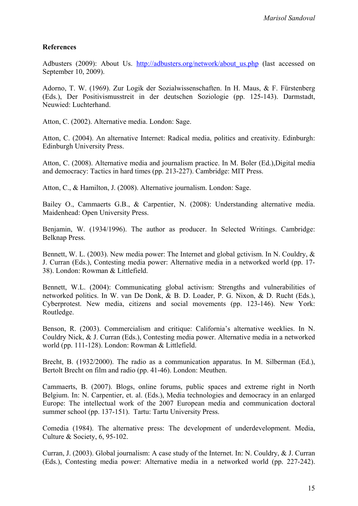## **References**

Adbusters (2009): About Us. http://adbusters.org/network/about us.php (last accessed on September 10, 2009).

Adorno, T. W. (1969). Zur Logik der Sozialwissenschaften. In H. Maus, & F. Fürstenberg (Eds.), Der Positivismusstreit in der deutschen Soziologie (pp. 125-143). Darmstadt, Neuwied: Luchterhand.

Atton, C. (2002). Alternative media. London: Sage.

Atton, C. (2004). An alternative Internet: Radical media, politics and creativity. Edinburgh: Edinburgh University Press.

Atton, C. (2008). Alternative media and journalism practice. In M. Boler (Ed.),Digital media and democracy: Tactics in hard times (pp. 213-227). Cambridge: MIT Press.

Atton, C., & Hamilton, J. (2008). Alternative journalism. London: Sage.

Bailey O., Cammaerts G.B., & Carpentier, N. (2008): Understanding alternative media. Maidenhead: Open University Press.

Benjamin, W. (1934/1996). The author as producer. In Selected Writings. Cambridge: Belknap Press.

Bennett, W. L. (2003). New media power: The Internet and global gctivism. In N. Couldry, & J. Curran (Eds.), Contesting media power: Alternative media in a networked world (pp. 17- 38). London: Rowman & Littlefield.

Bennett, W.L. (2004): Communicating global activism: Strengths and vulnerabilities of networked politics. In W. van De Donk, & B. D. Loader, P. G. Nixon, & D. Rucht (Eds.), Cyberprotest. New media, citizens and social movements (pp. 123-146). New York: Routledge.

Benson, R. (2003). Commercialism and critique: California's alternative weeklies. In N. Couldry Nick, & J. Curran (Eds.), Contesting media power. Alternative media in a networked world (pp. 111-128). London: Rowman & Littlefield.

Brecht, B. (1932/2000). The radio as a communication apparatus. In M. Silberman (Ed.), Bertolt Brecht on film and radio (pp. 41-46). London: Meuthen.

Cammaerts, B. (2007). Blogs, online forums, public spaces and extreme right in North Belgium. In: N. Carpentier, et. al. (Eds.), Media technologies and democracy in an enlarged Europe: The intellectual work of the 2007 European media and communication doctoral summer school (pp. 137-151). Tartu: Tartu University Press.

Comedia (1984). The alternative press: The development of underdevelopment. Media, Culture & Society, 6, 95-102.

Curran, J. (2003). Global journalism: A case study of the Internet. In: N. Couldry, & J. Curran (Eds.), Contesting media power: Alternative media in a networked world (pp. 227-242).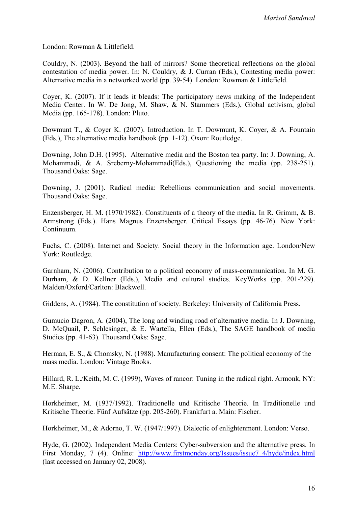London: Rowman & Littlefield.

Couldry, N. (2003). Beyond the hall of mirrors? Some theoretical reflections on the global contestation of media power. In: N. Couldry, & J. Curran (Eds.), Contesting media power: Alternative media in a networked world (pp. 39-54). London: Rowman & Littlefield.

Coyer, K. (2007). If it leads it bleads: The participatory news making of the Independent Media Center. In W. De Jong, M. Shaw, & N. Stammers (Eds.), Global activism, global Media (pp. 165-178). London: Pluto.

Dowmunt T., & Coyer K. (2007). Introduction. In T. Dowmunt, K. Coyer, & A. Fountain (Eds.), The alternative media handbook (pp. 1-12). Oxon: Routledge.

Downing, John D.H. (1995). Alternative media and the Boston tea party. In: J. Downing, A. Mohammadi, & A. Sreberny-Mohammadi(Eds.), Questioning the media (pp. 238-251). Thousand Oaks: Sage.

Downing, J. (2001). Radical media: Rebellious communication and social movements. Thousand Oaks: Sage.

Enzensberger, H. M. (1970/1982). Constituents of a theory of the media. In R. Grimm, & B. Armstrong (Eds.). Hans Magnus Enzensberger. Critical Essays (pp. 46-76). New York: Continuum.

Fuchs, C. (2008). Internet and Society. Social theory in the Information age. London/New York: Routledge.

Garnham, N. (2006). Contribution to a political economy of mass-communication. In M. G. Durham, & D. Kellner (Eds.), Media and cultural studies. KeyWorks (pp. 201-229). Malden/Oxford/Carlton: Blackwell.

Giddens, A. (1984). The constitution of society. Berkeley: University of California Press.

Gumucio Dagron, A. (2004), The long and winding road of alternative media. In J. Downing, D. McQuail, P. Schlesinger, & E. Wartella, Ellen (Eds.), The SAGE handbook of media Studies (pp. 41-63). Thousand Oaks: Sage.

Herman, E. S., & Chomsky, N. (1988). Manufacturing consent: The political economy of the mass media. London: Vintage Books.

Hillard, R. L./Keith, M. C. (1999), Waves of rancor: Tuning in the radical right. Armonk, NY: M.E. Sharpe.

Horkheimer, M. (1937/1992). Traditionelle und Kritische Theorie. In Traditionelle und Kritische Theorie. Fünf Aufsätze (pp. 205-260). Frankfurt a. Main: Fischer.

Horkheimer, M., & Adorno, T. W. (1947/1997). Dialectic of enlightenment. London: Verso.

Hyde, G. (2002). Independent Media Centers: Cyber-subversion and the alternative press. In First Monday, 7 (4). Online: http://www.firstmonday.org/Issues/issue7 4/hyde/index.html (last accessed on January 02, 2008).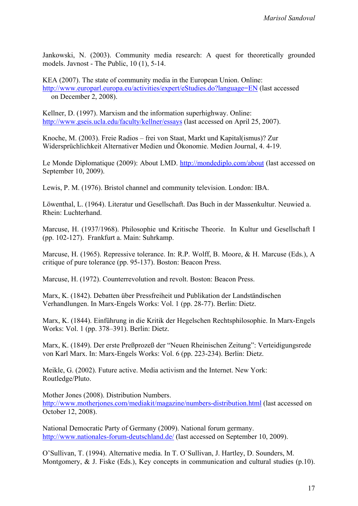Jankowski, N. (2003). Community media research: A quest for theoretically grounded models. Javnost - The Public, 10 (1), 5-14.

KEA (2007). The state of community media in the European Union. Online: <http://www.europarl.europa.eu/activities/expert/eStudies.do?language=EN>(last accessed on December 2, 2008).

Kellner, D. (1997). Marxism and the information superhighway. Online: <http://www.gseis.ucla.edu/faculty/kellner/essays> (last accessed on April 25, 2007).

Knoche, M. (2003). Freie Radios – frei von Staat, Markt und Kapital(ismus)? Zur Widersprüchlichkeit Alternativer Medien und Ökonomie. Medien Journal, 4. 4-19.

Le Monde Diplomatique (2009): About LMD. <http://mondediplo.com/about> (last accessed on September 10, 2009).

Lewis, P. M. (1976). Bristol channel and community television. London: IBA.

Löwenthal, L. (1964). Literatur und Gesellschaft. Das Buch in der Massenkultur. Neuwied a. Rhein: Luchterhand.

Marcuse, H. (1937/1968). Philosophie und Kritische Theorie. In Kultur und Gesellschaft I (pp. 102-127). Frankfurt a. Main: Suhrkamp.

Marcuse, H. (1965). Repressive tolerance. In: R.P. Wolff, B. Moore, & H. Marcuse (Eds.), A critique of pure tolerance (pp. 95-137). Boston: Beacon Press.

Marcuse, H. (1972). Counterrevolution and revolt. Boston: Beacon Press.

Marx, K. (1842). Debatten über Pressfreiheit und Publikation der Landständischen Verhandlungen. In Marx-Engels Works: Vol. 1 (pp. 28-77). Berlin: Dietz.

Marx, K. (1844). Einführung in die Kritik der Hegelschen Rechtsphilosophie. In Marx-Engels Works: Vol. 1 (pp. 378–391). Berlin: Dietz.

Marx, K. (1849). Der erste Preßprozeß der "Neuen Rheinischen Zeitung": Verteidigungsrede von Karl Marx. In: Marx-Engels Works: Vol. 6 (pp. 223-234). Berlin: Dietz.

Meikle, G. (2002). Future active. Media activism and the Internet. New York: Routledge/Pluto.

Mother Jones (2008). Distribution Numbers.

<http://www.motherjones.com/mediakit/magazine/numbers-distribution.html> (last accessed on October 12, 2008).

National Democratic Party of Germany (2009). National forum germany. <http://www.nationales-forum-deutschland.de/>(last accessed on September 10, 2009).

O'Sullivan, T. (1994). Alternative media. In T. O`Sullivan, J. Hartley, D. Sounders, M. Montgomery, & J. Fiske (Eds.), Key concepts in communication and cultural studies (p.10).